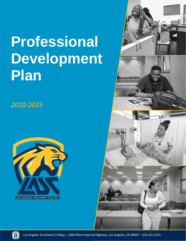# **Professional Development Plan**

*2020-2023*







Los Angeles Southwest College | 1600 West Imperial Highway, Los Angeles, CA 90047 | 323.241.5321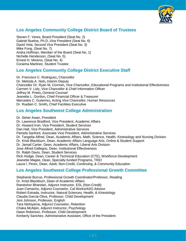

## **Los Angeles Community College District Board of Trustees**

Steven F. Veres, Board President (Seat No. 2) Gabriel Buelna, Ph.D.,Vice President (Seat No. 6) David Vela, Second Vice President (Seat No. 3) Mike Fong, (Seat No. 7) Andra Hoffman, Member of the Board (Seat No. 1) Nichelle Henderson, (Seat No. 5) Ernest H. Moreno, (Seat No. 4) Coraima Martinez, Student Trustee

## **Los Angeles Community College District Executive Staff**

Dr. Francisco C. Rodriguez**,** Chancellor Dr. Melinda A. Nish**,** Interim Deputy Chancellor Dr. Ryan M**.** Cornner**,** Vice Chancellor, Educational Programs and Institutional Effectiveness Carmen V. Lidz**,** Vice Chancellor & Chief Information Officer Jeffrey M. Prieto**,** General Counsel Jeanette L. Gordon**,** Chief Financial Officer & Treasurer Mercedes C. Gutierrez**,** Acting Vice Chancellor, Human Resources Dr. Rueben C. Smith**,** Chief Facilities Executive

## **Los Angeles Southwest College Administration**

Dr. Seher Awan, President Dr. Lawrence Bradford, Vice President, Academic Affairs Dr. Howard Irvin, Vice President, Student Services Dan Hall, Vice President, Administrative Services Pamela Sanford, Associate Vice President, Administrative Services Dr. Tangelia Alfred, Dean, Academic Affairs, Math, Science, Health, Kinesiology and Nursing Division Dr. Kristi Blackburn, Dean, Academic Affairs Language Arts, Online & Student Support Dr. Jamail Carter, Dean, Academic Affairs, Liberal Arts Division Jose Alfred Gallegos, Dean, Institutional Effectiveness Dr. Ralph Davis, Dean, Student Services Rick Hodge, Dean, Career & Technical Education (CTE), Workforce Development Jeanette Magee, Dean, Specially-funded Programs, TRiO Laura I. Perez, Dean, Adult, Non-Credit, Continuing, & Community Education

## **Los Angeles Southwest College Professional Growth Committee**

Stephanie Burrus, Professional Growth Coordinator/Professor, Reading Dr. Kristi Blackburn, Dean of Academic Affairs Rameshor Bhandari, Adjunct Instructor, ESL (Non-Credit) Juan Camacho, Adjunct Counselor, Cal Works/ASO Advisor Robert Estrada, Instructor, Natural Sciences, Health, & Kinesiology Claudia Garcia-Oliva, Professor, Child Development Joni Johnson, Professor, English Tara Nishiyama, Adjunct Counselor, Retention Chaka McAlpin, Adjunct Instructor, Psychology Dawn Robinson, Professor, Child Development Kimberly Sanchez, Administrative Assistant, Office of the President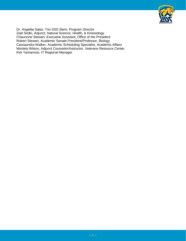

Dr. Angelita Salas, Trio SSS Stem, Program Director Ziad Sedki, Adjunct, Natural Science, Health, & Kinesiology Chauncine Stewart, Executive Assistant, Office of the President Robert Stewart, Academic Senate President/Professor, Biology Cassaundra Walker, Academic Scheduling Specialist, Academic Affairs Montely Wilson, Adjunct Counselor/Instructor, Veterans Resource Center Kirk Yamamoto, IT Regional Manager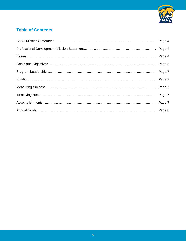

## **Table of Contents**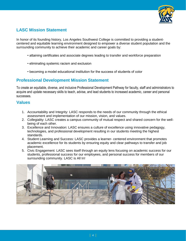

## **LASC Mission Statement**

In honor of its founding history, Los Angeles Southwest College is committed to providing a student‐ centered and equitable learning environment designed to empower a diverse student population and the surrounding community to achieve their academic and career goals by:

- attaining certificates and associate degrees leading to transfer and workforce preparation
- eliminating systemic racism and exclusion
- becoming a model educational institution for the success of students of color

## **Professional Development Mission Statement**

To create an equitable, diverse, and inclusive Professional Development Pathway for faculty, staff and administrators to acquire and update necessary skills to teach, advise, and lead students to increased academic, career and personal successes.

## **Values**

- 1. Accountability and Integrity: LASC responds to the needs of our community through the ethical assessment and implementation of our mission, vision, and values.
- 2. Collegiality: LASC creates a campus community of mutual respect and shared concern for the well‐ being of each other.
- 3. Excellence and Innovation: LASC ensures a culture of excellence using innovative pedagogy, technologies, and professional development resulting in our students meeting the highest standards.
- 4. Student Learning and Success: LASC provides a learner- centered environment that promotes academic excellence for its students by ensuring equity and clear pathways to transfer and job placement.
- 5. Civic Engagement: LASC sees itself through an equity lens focusing on academic success for our students, professional success for our employees, and personal success for members of our surrounding community. LASC is All In!

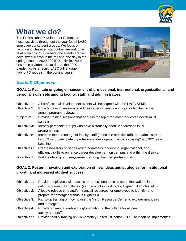

# **What we do?**

The Professional Development Committee hosts activities throughout the year for all LASC employee constituent groups. We focus on faculty and classified staff but all are welcome at all trainings. Our cornerstone events are flex days: two full days in the fall and one day in the spring. Most of 2020-2021PD activities were hosted in a virtual format due to the 2020 pandemic. As a result, LASC will engage in hybrid PD models in the coming years.



## **Goals & Objectives**

**GOAL 1: Facilitate ongoing enhancement of professional, instructional, organizational, and personal skills sets among faculty, staff, and administrators.**

| Objective 1:  | All professional development events will be aligned with the LASC SEMP.                                                                                                                       |
|---------------|-----------------------------------------------------------------------------------------------------------------------------------------------------------------------------------------------|
| Objective 2:  | Provide training sessions to address specific needs and topics identified in the<br>annual program reviews.                                                                                   |
| *Objective 3: | Provide training sessions that address the top three most requested needs in PD<br>surveys.                                                                                                   |
| Objective 4:  | Identify personnel groups who have historically been unaddressed in PD<br>programming.                                                                                                        |
| Objective 5:  | Increase the percentage of faculty, staff (to include athletic staff), and administrators<br>by 50% who participate in professional development activities, using 2020/2021 as a<br>baseline. |
| Objective 6:  | Create new training series which addresses leadership, organizational, and<br>efficiency skills to enhance career development on campus and within the district.                              |

Objective 7: Build leadership and engagement among classified professionals.

#### **GOAL 2: Foster innovation and exploration of new ideas and strategies for institutional growth and increased student success.**

- Objective 1: Provide employees with access to professional articles about innovations in the nation's community colleges. (i.e. Faculty Focus Articles, Higher Ed articles, etc.)
- Objective 2: Allocate release time and/or financial resources for employees to identify and prepare for emerging trends in Higher Ed.
- Objective 3: Ramp-up training on how to use the Vision Resource Center to explore new ideas and strategies.
- Objective 4: Provide an annual on-boarding/orientation to the college for all new faculty and staff.
- Objective 5: Provide faculty training on Competency Based Education (CBE) so it can be implemented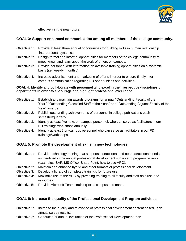

effectively in the near future.

#### **GOAL 3: Support enhanced communication among all members of the college community.**

- Objective 1: Provide at least three annual opportunities for building skills in human relationship interpersonal dynamics.
- Objective 2: Design formal and informal opportunities for members of the college community to meet, know, and learn about the work of others on campus.
- Objective 3: Provide personnel with information on available training opportunities on a systemic basis (i.e. weekly, monthly).
- Objective 4: Increase advertisement and marketing of efforts in order to ensure timely intercampus communication regarding PD opportunities and activities.

#### **GOAL 4: Identify and collaborate with personnel who excel in their respective disciplines or departments in order to encourage and highlight professional excellence.**

- Objective 1: Establish and maintain awards programs for annual "Outstanding Faculty of the Year," "Outstanding Classified Staff of the Year," and "Outstanding Adjunct Faculty of the Year" awards.
- Objective 2: Publish outstanding achievements of personnel in college publications each semester/quarterly.
- Objective 3: Identify at least five new, on-campus personnel, who can serve as facilitators in our PD trainings/workshops annually.
- Objective 4: Identify at least 2 on-campus personnel who can serve as facilitators in our PD trainings/workshops.

#### **GOAL 5: Promote the development of skills in new technologies.**

- Objective 1: Provide technology training that supports instructional and non-instructional needs as identified in the annual professional development survey and program reviews (examples: SAP, MS Office, Share Point, how to use VRC).
- Objective 2: Maintain and enhance hybrid and other formats of professional development.
- Objective 3: Develop a library of completed trainings for future use.
- Objective 4: Maximize use of the VRC by providing training to all faculty and staff on it use and resources.
- Objective 5: Provide Microsoft Teams training to all campus personnel.

#### **GOAL 6: Increase the quality of the Professional Development Program activities.**

- Objective 1: Increase the quality and relevance of professional development content based upon annual survey results.
- Objective 2: Conduct a bi-annual evaluation of the Professional Development Plan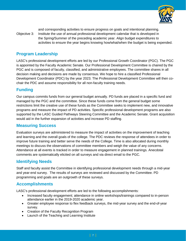

and corresponding activities to ensure progress on goals and intentional planning. Objective 3: Institute the use of annual professional development calendar that is developed in the Spring/Summer of the preceding academic year. Align budget expenditures to activities to ensure the year begins knowing how/what/when the budget is being expended.

## **Program Leadership**

LASC's professional development efforts are led by our Professional Growth Coordinator (PGC). The PGC is appointed by the Faculty Academic Senate. Our Professional Development Committee is chaired by the PGC and is composed of faculty, classified, and administrative employees. The committee shares in all decision making and decisions are made by consensus. We hope to hire a classified Professional Development Coordinator (PDC) by the year 2023. The Professional Development Committee will then cochair the PDC and assume responsibility for all non-faculty training needs.

## **Funding**

Our campus commits funds from our general budget annually. PD funds are placed in a specific fund and managed by the PGC and the committee. Since these funds come from the general budget some restrictions limit the creative use of these funds as the Committee seeks to implement new, and innovative programs and measure the impact of PD activities. Specific professional development programs are also supported by the LASC Guided Pathways Steering Committee and the Academic Senate. Grant acquisition would aid in the further expansion of activities and increase PD staffing.

## **Measuring Success**

Evaluation surveys are administered to measure the impact of activities on the improvement of teaching and learning and the overall goals of the college. The PDC reviews the response of attendees in order to improve future training and better serve the needs of the College. Time is also allocated during monthly meetings to discuss the observations of committee members and weigh the value of any concerns. Attendance at all events is tracked in order to measure engagement in planned trainings. Anecdotal comments are systematically elicited on all surveys and via direct email to the PGC.

## **Identifying Needs**

Staff and faculty assist the Committee in identifying professional development needs through a mid-year and year-end survey. The results of surveys are reviewed and discussed by the Committee. PD programming and goals are an outgrowth of these surveys.

## **Accomplishments**

LASC's professional development efforts are led to the following accomplishments:

- Increased faculty engagement; attendance in online workshops/trainings compared to in-person attendance earlier in the 2019-2020 academic year.
- Greater employee response to flex feedback surveys, the mid-year survey and the end-of-year survey.
- Creation of the Faculty Recognition Program
- Launch of the Teaching and Learning Institute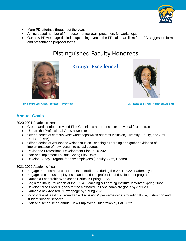

- More PD offerings throughout the year.
- An increased number of "in-house, homegrown" presenters for workshops.
- Our new PD webpage (includes upcoming events, the PD calendar, links for a PD suggestion form, and presentation proposal forms.

# Distinguished Faculty Honorees



 **Dr. Sandra Lee, Assoc. Professor, Psychology Dr. Jessica Saint-Paul, Health Sci. Adjunct**

## **Cougar Excellence!**



## **Annual Goals**

2020-2021 Academic Year

- Create and distribute revised Flex Guidelines and re-institute individual flex contracts.
- Update the Professional Growth website
- Offer a series of campus-wide workshops which address Inclusion, Diversity, Equity, and Anti-Racism (IDEA)
- Offer a series of workshops which focus on Teaching &Learning and gather evidence of implementation of new ideas into actual courses
- Revise the Professional Development Plan 2020-2023
- Plan and implement Fall and Spring Flex Days
- Develop Buddy Program for new employees (Faculty, Staff, Deans)

#### 2021-2022 Academic Year

- Engage more campus constituents as facilitators during the 2021-2022 academic year.
- Engage all campus employees in an intentional professional development program.
- Launch a Leadership Workshops Series in Spring 2022.
- Begin the inaugural cohort of the LASC Teaching & Learning Institute in Winter/Spring 2022.
- Develop three SMART goals for the classified unit and complete goals by April 2022.
- Launch a new/revised PD webpage by Spring 2022.
- Incorporate at least two "roundtable discussions" per semester surrounding IDEA, instruction and student support services.
- Plan and schedule an annual New Employees Orientation by Fall 2022.